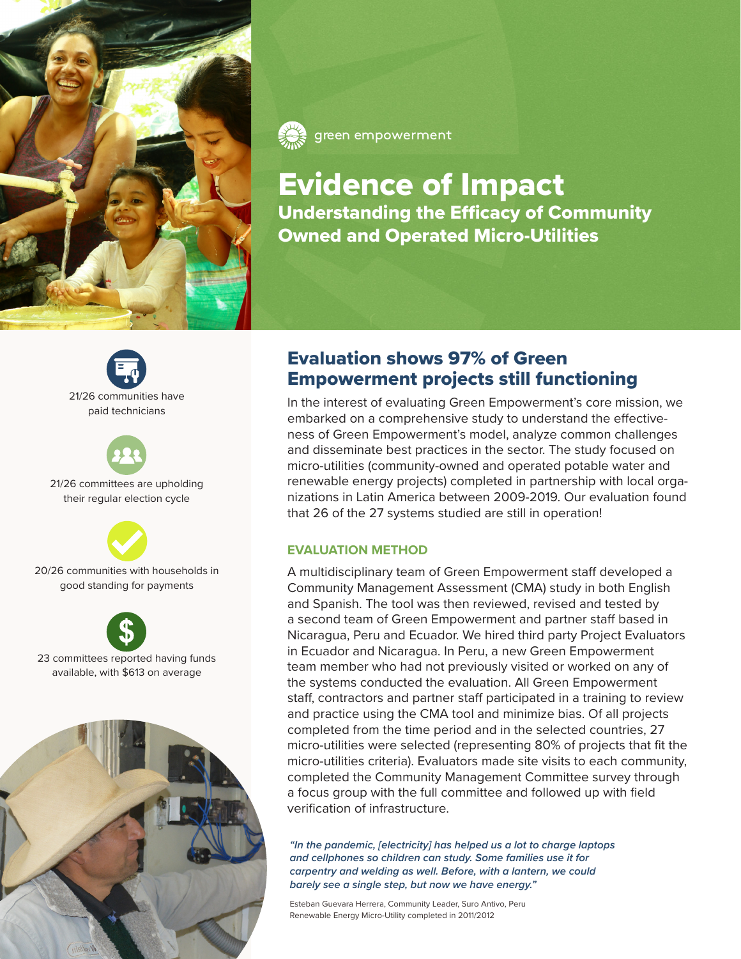

green empowerment

Evidence of Impact Understanding the Efficacy of Community Owned and Operated Micro-Utilities





21/26 committees are upholding their regular election cycle



20/26 communities with households in good standing for payments



23 committees reported having funds available, with \$613 on average



# Evaluation shows 97% of Green Empowerment projects still functioning

In the interest of evaluating Green Empowerment's core mission, we embarked on a comprehensive study to understand the effectiveness of Green Empowerment's model, analyze common challenges and disseminate best practices in the sector. The study focused on micro-utilities (community-owned and operated potable water and renewable energy projects) completed in partnership with local organizations in Latin America between 2009-2019. Our evaluation found that 26 of the 27 systems studied are still in operation!

### **EVALUATION METHOD**

A multidisciplinary team of Green Empowerment staff developed a Community Management Assessment (CMA) study in both English and Spanish. The tool was then reviewed, revised and tested by a second team of Green Empowerment and partner staff based in Nicaragua, Peru and Ecuador. We hired third party Project Evaluators in Ecuador and Nicaragua. In Peru, a new Green Empowerment team member who had not previously visited or worked on any of the systems conducted the evaluation. All Green Empowerment staff, contractors and partner staff participated in a training to review and practice using the CMA tool and minimize bias. Of all projects completed from the time period and in the selected countries, 27 micro-utilities were selected (representing 80% of projects that fit the micro-utilities criteria). Evaluators made site visits to each community, completed the Community Management Committee survey through a focus group with the full committee and followed up with field verification of infrastructure.

*"In the pandemic, [electricity] has helped us a lot to charge laptops and cellphones so children can study. Some families use it for carpentry and welding as well. Before, with a lantern, we could barely see a single step, but now we have energy."* 

Esteban Guevara Herrera, Community Leader, Suro Antivo, Peru Renewable Energy Micro-Utility completed in 2011/2012